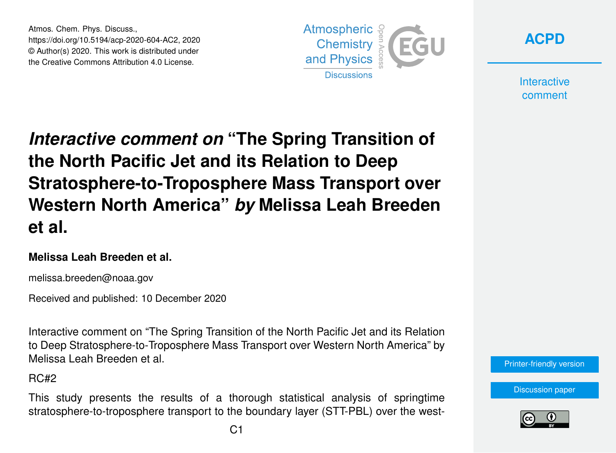Atmos. Chem. Phys. Discuss., https://doi.org/10.5194/acp-2020-604-AC2, 2020 © Author(s) 2020. This work is distributed under the Creative Commons Attribution 4.0 License.





**Interactive** comment

# *Interactive comment on* **"The Spring Transition of the North Pacific Jet and its Relation to Deep Stratosphere-to-Troposphere Mass Transport over Western North America"** *by* **Melissa Leah Breeden et al.**

#### **Melissa Leah Breeden et al.**

melissa.breeden@noaa.gov

Received and published: 10 December 2020

Interactive comment on "The Spring Transition of the North Pacific Jet and its Relation to Deep Stratosphere-to-Troposphere Mass Transport over Western North America" by Melissa Leah Breeden et al.

 $RC#2$ 

This study presents the results of a thorough statistical analysis of springtime stratosphere-to-troposphere transport to the boundary layer (STT-PBL) over the west-



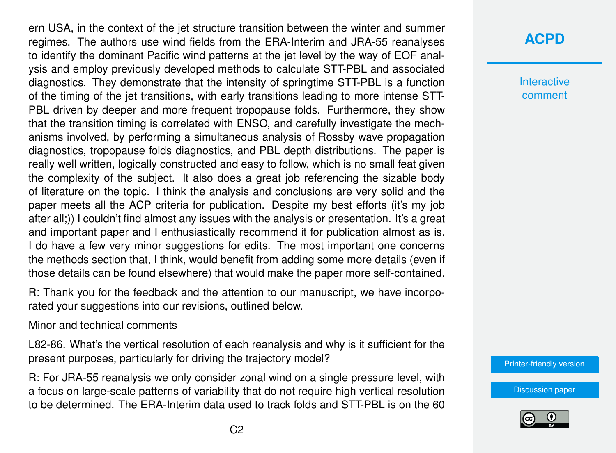ern USA, in the context of the jet structure transition between the winter and summer regimes. The authors use wind fields from the ERA-Interim and JRA-55 reanalyses to identify the dominant Pacific wind patterns at the jet level by the way of EOF analysis and employ previously developed methods to calculate STT-PBL and associated diagnostics. They demonstrate that the intensity of springtime STT-PBL is a function of the timing of the jet transitions, with early transitions leading to more intense STT-PBL driven by deeper and more frequent tropopause folds. Furthermore, they show that the transition timing is correlated with ENSO, and carefully investigate the mechanisms involved, by performing a simultaneous analysis of Rossby wave propagation diagnostics, tropopause folds diagnostics, and PBL depth distributions. The paper is really well written, logically constructed and easy to follow, which is no small feat given the complexity of the subject. It also does a great job referencing the sizable body of literature on the topic. I think the analysis and conclusions are very solid and the paper meets all the ACP criteria for publication. Despite my best efforts (it's my job after all;)) I couldn't find almost any issues with the analysis or presentation. It's a great and important paper and I enthusiastically recommend it for publication almost as is. I do have a few very minor suggestions for edits. The most important one concerns the methods section that, I think, would benefit from adding some more details (even if those details can be found elsewhere) that would make the paper more self-contained.

R: Thank you for the feedback and the attention to our manuscript, we have incorporated your suggestions into our revisions, outlined below.

#### Minor and technical comments

L82-86. What's the vertical resolution of each reanalysis and why is it sufficient for the present purposes, particularly for driving the trajectory model?

R: For JRA-55 reanalysis we only consider zonal wind on a single pressure level, with a focus on large-scale patterns of variability that do not require high vertical resolution to be determined. The ERA-Interim data used to track folds and STT-PBL is on the 60

## **[ACPD](https://acp.copernicus.org/preprints/)**

**Interactive** comment

[Printer-friendly version](https://acp.copernicus.org/preprints/acp-2020-604/acp-2020-604-AC2-print.pdf)

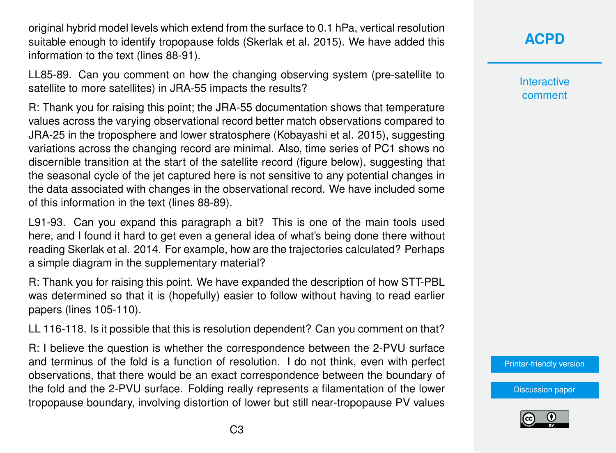original hybrid model levels which extend from the surface to 0.1 hPa, vertical resolution suitable enough to identify tropopause folds (Skerlak et al. 2015). We have added this information to the text (lines 88-91).

LL85-89. Can you comment on how the changing observing system (pre-satellite to satellite to more satellites) in JRA-55 impacts the results?

R: Thank you for raising this point; the JRA-55 documentation shows that temperature values across the varying observational record better match observations compared to JRA-25 in the troposphere and lower stratosphere (Kobayashi et al. 2015), suggesting variations across the changing record are minimal. Also, time series of PC1 shows no discernible transition at the start of the satellite record (figure below), suggesting that the seasonal cycle of the jet captured here is not sensitive to any potential changes in the data associated with changes in the observational record. We have included some of this information in the text (lines 88-89).

L91-93. Can you expand this paragraph a bit? This is one of the main tools used here, and I found it hard to get even a general idea of what's being done there without reading Skerlak et al. 2014. For example, how are the trajectories calculated? Perhaps a simple diagram in the supplementary material?

R: Thank you for raising this point. We have expanded the description of how STT-PBL was determined so that it is (hopefully) easier to follow without having to read earlier papers (lines 105-110).

LL 116-118. Is it possible that this is resolution dependent? Can you comment on that?

R: I believe the question is whether the correspondence between the 2-PVU surface and terminus of the fold is a function of resolution. I do not think, even with perfect observations, that there would be an exact correspondence between the boundary of the fold and the 2-PVU surface. Folding really represents a filamentation of the lower tropopause boundary, involving distortion of lower but still near-tropopause PV values

**[ACPD](https://acp.copernicus.org/preprints/)**

**Interactive** comment

[Printer-friendly version](https://acp.copernicus.org/preprints/acp-2020-604/acp-2020-604-AC2-print.pdf)

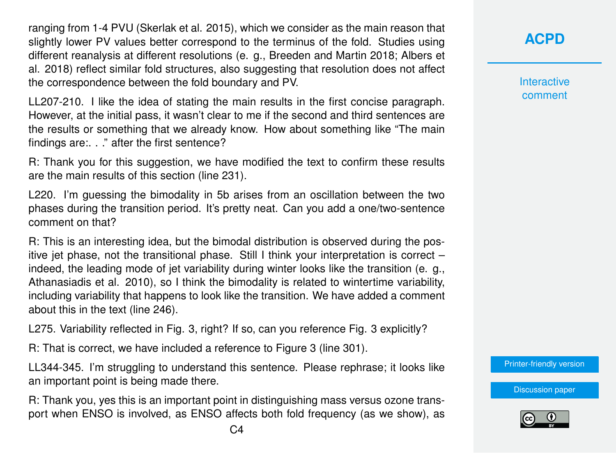ranging from 1-4 PVU (Skerlak et al. 2015), which we consider as the main reason that slightly lower PV values better correspond to the terminus of the fold. Studies using different reanalysis at different resolutions (e. g., Breeden and Martin 2018; Albers et al. 2018) reflect similar fold structures, also suggesting that resolution does not affect the correspondence between the fold boundary and PV.

LL207-210. I like the idea of stating the main results in the first concise paragraph. However, at the initial pass, it wasn't clear to me if the second and third sentences are the results or something that we already know. How about something like "The main findings are:. . ." after the first sentence?

R: Thank you for this suggestion, we have modified the text to confirm these results are the main results of this section (line 231).

L220. I'm guessing the bimodality in 5b arises from an oscillation between the two phases during the transition period. It's pretty neat. Can you add a one/two-sentence comment on that?

R: This is an interesting idea, but the bimodal distribution is observed during the positive jet phase, not the transitional phase. Still I think your interpretation is correct – indeed, the leading mode of jet variability during winter looks like the transition (e. g., Athanasiadis et al. 2010), so I think the bimodality is related to wintertime variability, including variability that happens to look like the transition. We have added a comment about this in the text (line 246).

L275. Variability reflected in Fig. 3, right? If so, can you reference Fig. 3 explicitly?

R: That is correct, we have included a reference to Figure 3 (line 301).

LL344-345. I'm struggling to understand this sentence. Please rephrase; it looks like an important point is being made there.

R: Thank you, yes this is an important point in distinguishing mass versus ozone transport when ENSO is involved, as ENSO affects both fold frequency (as we show), as **Interactive** comment

[Printer-friendly version](https://acp.copernicus.org/preprints/acp-2020-604/acp-2020-604-AC2-print.pdf)

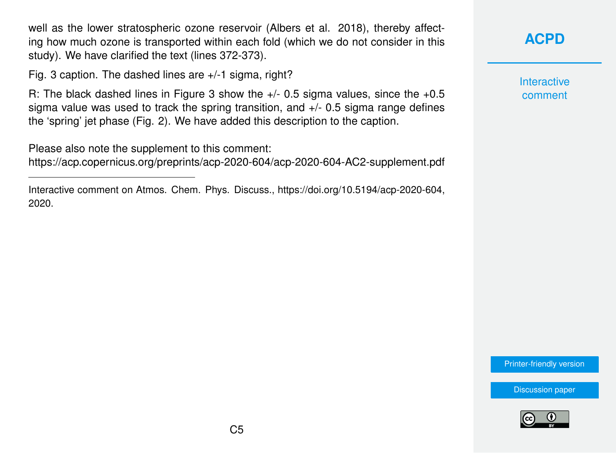well as the lower stratospheric ozone reservoir (Albers et al. 2018), thereby affecting how much ozone is transported within each fold (which we do not consider in this study). We have clarified the text (lines 372-373).

Fig. 3 caption. The dashed lines are +/-1 sigma, right?

R: The black dashed lines in Figure 3 show the +/- 0.5 sigma values, since the +0.5 sigma value was used to track the spring transition, and +/- 0.5 sigma range defines the 'spring' jet phase (Fig. 2). We have added this description to the caption.

Please also note the supplement to this comment: <https://acp.copernicus.org/preprints/acp-2020-604/acp-2020-604-AC2-supplement.pdf>

Interactive comment on Atmos. Chem. Phys. Discuss., https://doi.org/10.5194/acp-2020-604, 2020.

### **[ACPD](https://acp.copernicus.org/preprints/)**

**Interactive** comment

[Printer-friendly version](https://acp.copernicus.org/preprints/acp-2020-604/acp-2020-604-AC2-print.pdf)